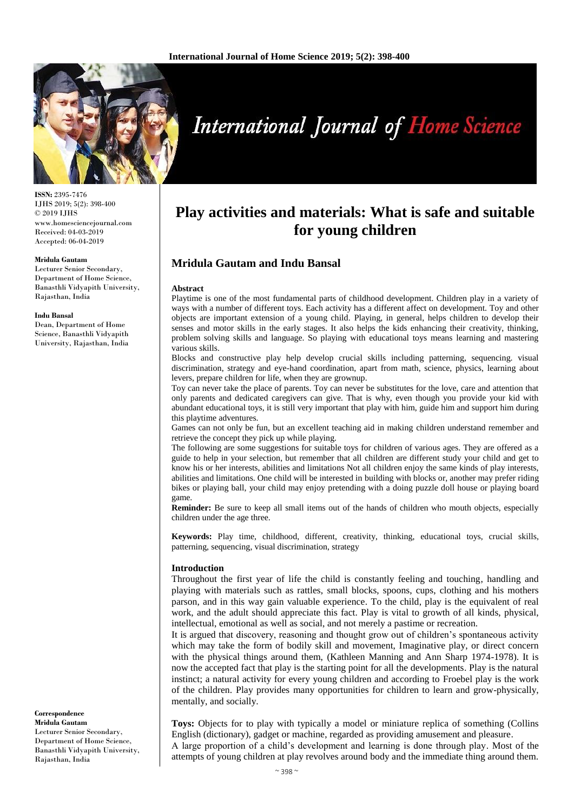

**ISSN:** 2395-7476 IJHS 2019; 5(2): 398-400 © 2019 IJHS www.homesciencejournal.com Received: 04-03-2019 Accepted: 06-04-2019

#### **Mridula Gautam**

Lecturer Senior Secondary, Department of Home Science, Banasthli Vidyapith University, Rajasthan, India

#### **Indu Bansal**

Dean, Department of Home Science, Banasthli Vidyapith University, Rajasthan, India

#### **Correspondence Mridula Gautam** Lecturer Senior Secondary, Department of Home Science, Banasthli Vidyapith University, Rajasthan, India

# **International Journal of Home Science**

# **Play activities and materials: What is safe and suitable for young children**

# **Mridula Gautam and Indu Bansal**

#### **Abstract**

Playtime is one of the most fundamental parts of childhood development. Children play in a variety of ways with a number of different toys. Each activity has a different affect on development. Toy and other objects are important extension of a young child. Playing, in general, helps children to develop their senses and motor skills in the early stages. It also helps the kids enhancing their creativity, thinking, problem solving skills and language. So playing with educational toys means learning and mastering various skills.

Blocks and constructive play help develop crucial skills including patterning, sequencing. visual discrimination, strategy and eye-hand coordination, apart from math, science, physics, learning about levers, prepare children for life, when they are grownup.

Toy can never take the place of parents. Toy can never be substitutes for the love, care and attention that only parents and dedicated caregivers can give. That is why, even though you provide your kid with abundant educational toys, it is still very important that play with him, guide him and support him during this playtime adventures.

Games can not only be fun, but an excellent teaching aid in making children understand remember and retrieve the concept they pick up while playing.

The following are some suggestions for suitable toys for children of various ages. They are offered as a guide to help in your selection, but remember that all children are different study your child and get to know his or her interests, abilities and limitations Not all children enjoy the same kinds of play interests, abilities and limitations. One child will be interested in building with blocks or, another may prefer riding bikes or playing ball, your child may enjoy pretending with a doing puzzle doll house or playing board game.

**Reminder:** Be sure to keep all small items out of the hands of children who mouth objects, especially children under the age three.

**Keywords:** Play time, childhood, different, creativity, thinking, educational toys, crucial skills, patterning, sequencing, visual discrimination, strategy

#### **Introduction**

Throughout the first year of life the child is constantly feeling and touching, handling and playing with materials such as rattles, small blocks, spoons, cups, clothing and his mothers parson, and in this way gain valuable experience. To the child, play is the equivalent of real work, and the adult should appreciate this fact. Play is vital to growth of all kinds, physical, intellectual, emotional as well as social, and not merely a pastime or recreation.

It is argued that discovery, reasoning and thought grow out of children's spontaneous activity which may take the form of bodily skill and movement, Imaginative play, or direct concern with the physical things around them, (Kathleen Manning and Ann Sharp 1974-1978). It is now the accepted fact that play is the starting point for all the developments. Play is the natural instinct; a natural activity for every young children and according to Froebel play is the work of the children. Play provides many opportunities for children to learn and grow-physically, mentally, and socially.

**Toys:** Objects for to play with typically a model or miniature replica of something (Collins English (dictionary), gadget or machine, regarded as providing amusement and pleasure. A large proportion of a child's development and learning is done through play. Most of the

attempts of young children at play revolves around body and the immediate thing around them.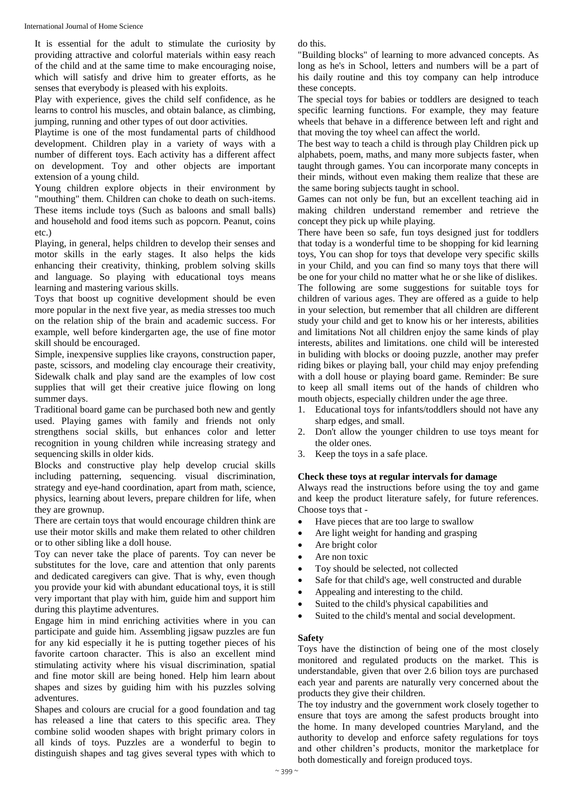It is essential for the adult to stimulate the curiosity by providing attractive and colorful materials within easy reach of the child and at the same time to make encouraging noise, which will satisfy and drive him to greater efforts, as he senses that everybody is pleased with his exploits.

Play with experience, gives the child self confidence, as he learns to control his muscles, and obtain balance, as climbing, jumping, running and other types of out door activities.

Playtime is one of the most fundamental parts of childhood development. Children play in a variety of ways with a number of different toys. Each activity has a different affect on development. Toy and other objects are important extension of a young child.

Young children explore objects in their environment by "mouthing" them. Children can choke to death on such-items. These items include toys (Such as baloons and small balls) and household and food items such as popcorn. Peanut, coins etc.)

Playing, in general, helps children to develop their senses and motor skills in the early stages. It also helps the kids enhancing their creativity, thinking, problem solving skills and language. So playing with educational toys means learning and mastering various skills.

Toys that boost up cognitive development should be even more popular in the next five year, as media stresses too much on the relation ship of the brain and academic success. For example, well before kindergarten age, the use of fine motor skill should be encouraged.

Simple, inexpensive supplies like crayons, construction paper, paste, scissors, and modeling clay encourage their creativity, Sidewalk chalk and play sand are the examples of low cost supplies that will get their creative juice flowing on long summer days.

Traditional board game can be purchased both new and gently used. Playing games with family and friends not only strengthens social skills, but enhances color and letter recognition in young children while increasing strategy and sequencing skills in older kids.

Blocks and constructive play help develop crucial skills including patterning, sequencing. visual discrimination, strategy and eye-hand coordination, apart from math, science, physics, learning about levers, prepare children for life, when they are grownup.

There are certain toys that would encourage children think are use their motor skills and make them related to other children or to other sibling like a doll house.

Toy can never take the place of parents. Toy can never be substitutes for the love, care and attention that only parents and dedicated caregivers can give. That is why, even though you provide your kid with abundant educational toys, it is still very important that play with him, guide him and support him during this playtime adventures.

Engage him in mind enriching activities where in you can participate and guide him. Assembling jigsaw puzzles are fun for any kid especially it he is putting together pieces of his favorite cartoon character. This is also an excellent mind stimulating activity where his visual discrimination, spatial and fine motor skill are being honed. Help him learn about shapes and sizes by guiding him with his puzzles solving adventures.

Shapes and colours are crucial for a good foundation and tag has released a line that caters to this specific area. They combine solid wooden shapes with bright primary colors in all kinds of toys. Puzzles are a wonderful to begin to distinguish shapes and tag gives several types with which to

do this.

"Building blocks" of learning to more advanced concepts. As long as he's in School, letters and numbers will be a part of his daily routine and this toy company can help introduce these concepts.

The special toys for babies or toddlers are designed to teach specific learning functions. For example, they may feature wheels that behave in a difference between left and right and that moving the toy wheel can affect the world.

The best way to teach a child is through play Children pick up alphabets, poem, maths, and many more subjects faster, when taught through games. You can incorporate many concepts in their minds, without even making them realize that these are the same boring subjects taught in school.

Games can not only be fun, but an excellent teaching aid in making children understand remember and retrieve the concept they pick up while playing.

There have been so safe, fun toys designed just for toddlers that today is a wonderful time to be shopping for kid learning toys, You can shop for toys that develope very specific skills in your Child, and you can find so many toys that there will be one for your child no matter what he or she like of dislikes. The following are some suggestions for suitable toys for children of various ages. They are offered as a guide to help in your selection, but remember that all children are different study your child and get to know his or her interests, abilities and limitations Not all children enjoy the same kinds of play interests, abilites and limitations. one child will be interested in buliding with blocks or dooing puzzle, another may prefer riding bikes or playing ball, your child may enjoy prefending with a doll house or playing board game. Reminder: Be sure to keep all small items out of the hands of children who mouth objects, especially children under the age three.

- 1. Educational toys for infants/toddlers should not have any sharp edges, and small.
- 2. Don't allow the younger children to use toys meant for the older ones.
- 3. Keep the toys in a safe place.

# **Check these toys at regular intervals for damage**

Always read the instructions before using the toy and game and keep the product literature safely, for future references. Choose toys that -

- Have pieces that are too large to swallow
- Are light weight for handing and grasping
- Are bright color
- Are non toxic
- Toy should be selected, not collected
- Safe for that child's age, well constructed and durable
- Appealing and interesting to the child.
- Suited to the child's physical capabilities and
- Suited to the child's mental and social development.

# **Safety**

Toys have the distinction of being one of the most closely monitored and regulated products on the market. This is understandable, given that over 2.6 bilion toys are purchased each year and parents are naturally very concerned about the products they give their children.

The toy industry and the government work closely together to ensure that toys are among the safest products brought into the home. In many developed countries Maryland, and the authority to develop and enforce safety regulations for toys and other children's products, monitor the marketplace for both domestically and foreign produced toys.